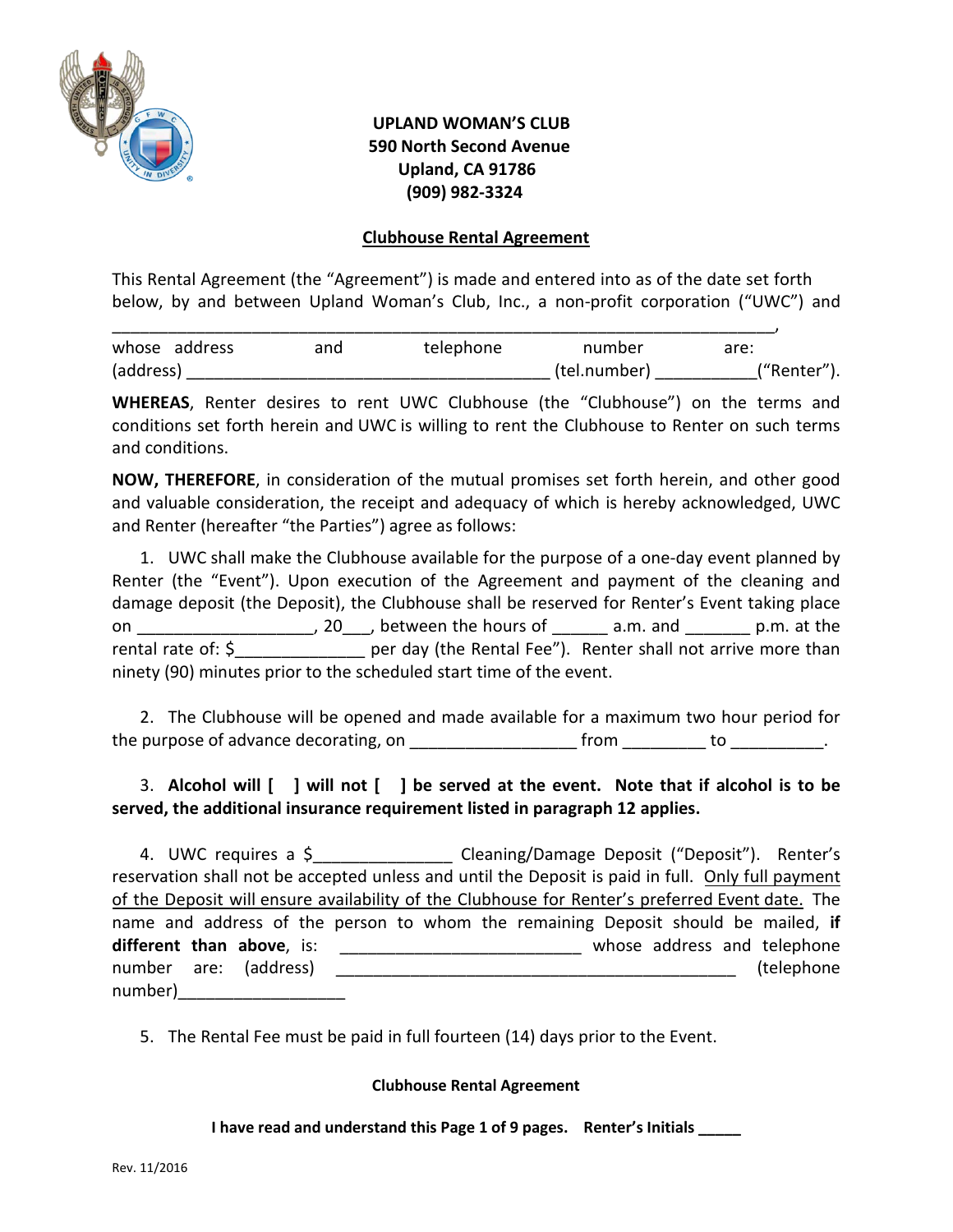

# **UPLAND WOMAN'S CLUB 590 North Second Avenue Upland, CA 91786 (909) 982-3324**

## **Clubhouse Rental Agreement**

This Rental Agreement (the "Agreement") is made and entered into as of the date set forth below, by and between Upland Woman's Club, Inc., a non-profit corporation ("UWC") and

| whose address | and | telephone | number       | are:        |
|---------------|-----|-----------|--------------|-------------|
| (address)     |     |           | (tel.number) | ("Renter"). |

**WHEREAS**, Renter desires to rent UWC Clubhouse (the "Clubhouse") on the terms and conditions set forth herein and UWC is willing to rent the Clubhouse to Renter on such terms and conditions.

**NOW, THEREFORE**, in consideration of the mutual promises set forth herein, and other good and valuable consideration, the receipt and adequacy of which is hereby acknowledged, UWC and Renter (hereafter "the Parties") agree as follows:

1. UWC shall make the Clubhouse available for the purpose of a one-day event planned by Renter (the "Event"). Upon execution of the Agreement and payment of the cleaning and damage deposit (the Deposit), the Clubhouse shall be reserved for Renter's Event taking place on \_\_\_\_\_\_\_\_\_\_\_\_\_\_\_\_\_\_\_\_\_\_, 20\_\_\_, between the hours of \_\_\_\_\_\_\_ a.m. and \_\_\_\_\_\_\_\_ p.m. at the rental rate of: \$\_\_\_\_\_\_\_\_\_\_\_\_\_\_\_\_\_\_ per day (the Rental Fee"). Renter shall not arrive more than ninety (90) minutes prior to the scheduled start time of the event.

2. The Clubhouse will be opened and made available for a maximum two hour period for the purpose of advance decorating, on \_\_\_\_\_\_\_\_\_\_\_\_\_\_\_\_\_\_ from \_\_\_\_\_\_\_\_\_ to \_\_\_\_\_\_\_\_\_\_.

# 3. **Alcohol will [ ] will not [ ] be served at the event. Note that if alcohol is to be served, the additional insurance requirement listed in paragraph 12 applies.**

4. UWC requires a \$\_\_\_\_\_\_\_\_\_\_\_\_\_\_\_\_\_ Cleaning/Damage Deposit ("Deposit"). Renter's reservation shall not be accepted unless and until the Deposit is paid in full. Only full payment of the Deposit will ensure availability of the Clubhouse for Renter's preferred Event date. The name and address of the person to whom the remaining Deposit should be mailed, **if**  different than above, is: \_\_\_\_\_\_\_\_\_\_\_\_\_\_\_\_\_\_\_\_\_\_\_\_\_\_\_\_\_\_\_\_\_ whose address and telephone number are: (address) \_\_\_\_\_\_\_\_\_\_\_\_\_\_\_\_\_\_\_\_\_\_\_\_\_\_\_\_\_\_\_\_\_\_\_\_\_\_\_\_\_\_\_ (telephone number)\_\_\_\_\_\_\_\_\_\_\_\_\_\_\_\_\_\_

5. The Rental Fee must be paid in full fourteen (14) days prior to the Event.

#### **Clubhouse Rental Agreement**

**I have read and understand this Page 1 of 9 pages. Renter's Initials \_\_\_\_\_**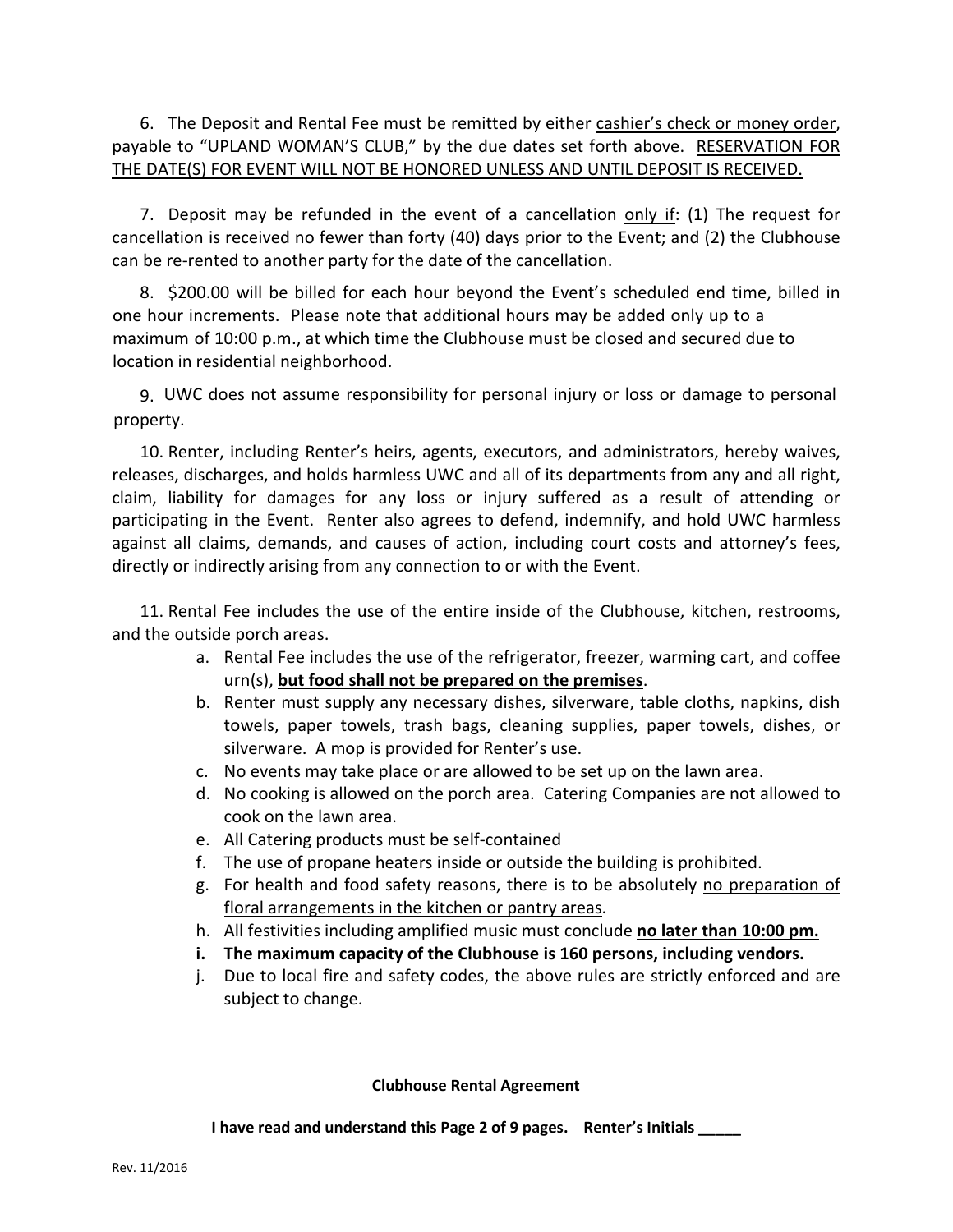6. The Deposit and Rental Fee must be remitted by either cashier's check or money order, payable to "UPLAND WOMAN'S CLUB," by the due dates set forth above. RESERVATION FOR THE DATE(S) FOR EVENT WILL NOT BE HONORED UNLESS AND UNTIL DEPOSIT IS RECEIVED.

7. Deposit may be refunded in the event of a cancellation only if: (1) The request for cancellation is received no fewer than forty (40) days prior to the Event; and (2) the Clubhouse can be re-rented to another party for the date of the cancellation.

8. \$200.00 will be billed for each hour beyond the Event's scheduled end time, billed in one hour increments. Please note that additional hours may be added only up to a maximum of 10:00 p.m., at which time the Clubhouse must be closed and secured due to location in residential neighborhood.

9. UWC does not assume responsibility for personal injury or loss or damage to personal property.

10. Renter, including Renter's heirs, agents, executors, and administrators, hereby waives, releases, discharges, and holds harmless UWC and all of its departments from any and all right, claim, liability for damages for any loss or injury suffered as a result of attending or participating in the Event. Renter also agrees to defend, indemnify, and hold UWC harmless against all claims, demands, and causes of action, including court costs and attorney's fees, directly or indirectly arising from any connection to or with the Event.

11. Rental Fee includes the use of the entire inside of the Clubhouse, kitchen, restrooms, and the outside porch areas.

- a. Rental Fee includes the use of the refrigerator, freezer, warming cart, and coffee urn(s), **but food shall not be prepared on the premises**.
- b. Renter must supply any necessary dishes, silverware, table cloths, napkins, dish towels, paper towels, trash bags, cleaning supplies, paper towels, dishes, or silverware. A mop is provided for Renter's use.
- c. No events may take place or are allowed to be set up on the lawn area.
- d. No cooking is allowed on the porch area. Catering Companies are not allowed to cook on the lawn area.
- e. All Catering products must be self-contained
- f. The use of propane heaters inside or outside the building is prohibited.
- g. For health and food safety reasons, there is to be absolutely no preparation of floral arrangements in the kitchen or pantry areas.
- h. All festivities including amplified music must conclude **no later than 10:00 pm.**
- **i. The maximum capacity of the Clubhouse is 160 persons, including vendors.**
- j. Due to local fire and safety codes, the above rules are strictly enforced and are subject to change.

## **Clubhouse Rental Agreement**

**I have read and understand this Page 2 of 9 pages. Renter's Initials \_\_\_\_\_**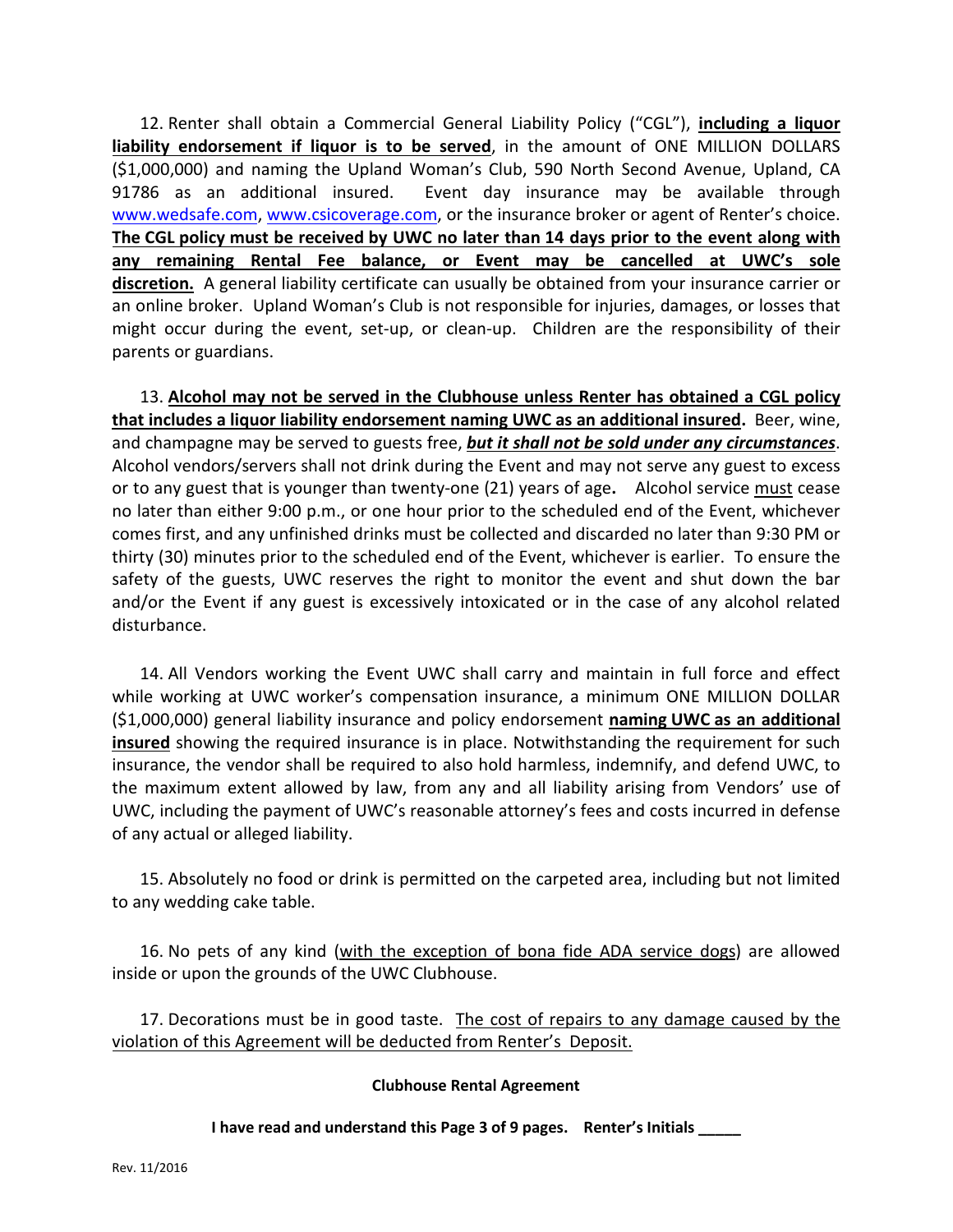12. Renter shall obtain a Commercial General Liability Policy ("CGL"), **including a liquor liability endorsement if liquor is to be served**, in the amount of ONE MILLION DOLLARS (\$1,000,000) and naming the Upland Woman's Club, 590 North Second Avenue, Upland, CA 91786 as an additional insured. Event day insurance may be available through [www.wedsafe.com,](http://www.wedsafe.com/) [www.csicoverage.com,](http://www.csicoverage.com/) or the insurance broker or agent of Renter's choice. **The CGL policy must be received by UWC no later than 14 days prior to the event along with any remaining Rental Fee balance, or Event may be cancelled at UWC's sole discretion.** A general liability certificate can usually be obtained from your insurance carrier or an online broker. Upland Woman's Club is not responsible for injuries, damages, or losses that might occur during the event, set-up, or clean-up. Children are the responsibility of their parents or guardians.

13. **Alcohol may not be served in the Clubhouse unless Renter has obtained a CGL policy that includes a liquor liability endorsement naming UWC as an additional insured.** Beer, wine, and champagne may be served to guests free, *but it shall not be sold under any circumstances*. Alcohol vendors/servers shall not drink during the Event and may not serve any guest to excess or to any guest that is younger than twenty-one (21) years of age**.** Alcohol service must cease no later than either 9:00 p.m., or one hour prior to the scheduled end of the Event, whichever comes first, and any unfinished drinks must be collected and discarded no later than 9:30 PM or thirty (30) minutes prior to the scheduled end of the Event, whichever is earlier. To ensure the safety of the guests, UWC reserves the right to monitor the event and shut down the bar and/or the Event if any guest is excessively intoxicated or in the case of any alcohol related disturbance.

14. All Vendors working the Event UWC shall carry and maintain in full force and effect while working at UWC worker's compensation insurance, a minimum ONE MILLION DOLLAR (\$1,000,000) general liability insurance and policy endorsement **naming UWC as an additional insured** showing the required insurance is in place. Notwithstanding the requirement for such insurance, the vendor shall be required to also hold harmless, indemnify, and defend UWC, to the maximum extent allowed by law, from any and all liability arising from Vendors' use of UWC, including the payment of UWC's reasonable attorney's fees and costs incurred in defense of any actual or alleged liability.

15. Absolutely no food or drink is permitted on the carpeted area, including but not limited to any wedding cake table.

16. No pets of any kind (with the exception of bona fide ADA service dogs) are allowed inside or upon the grounds of the UWC Clubhouse.

17. Decorations must be in good taste. The cost of repairs to any damage caused by the violation of this Agreement will be deducted from Renter's Deposit.

#### **Clubhouse Rental Agreement**

**I have read and understand this Page 3 of 9 pages. Renter's Initials \_\_\_\_\_**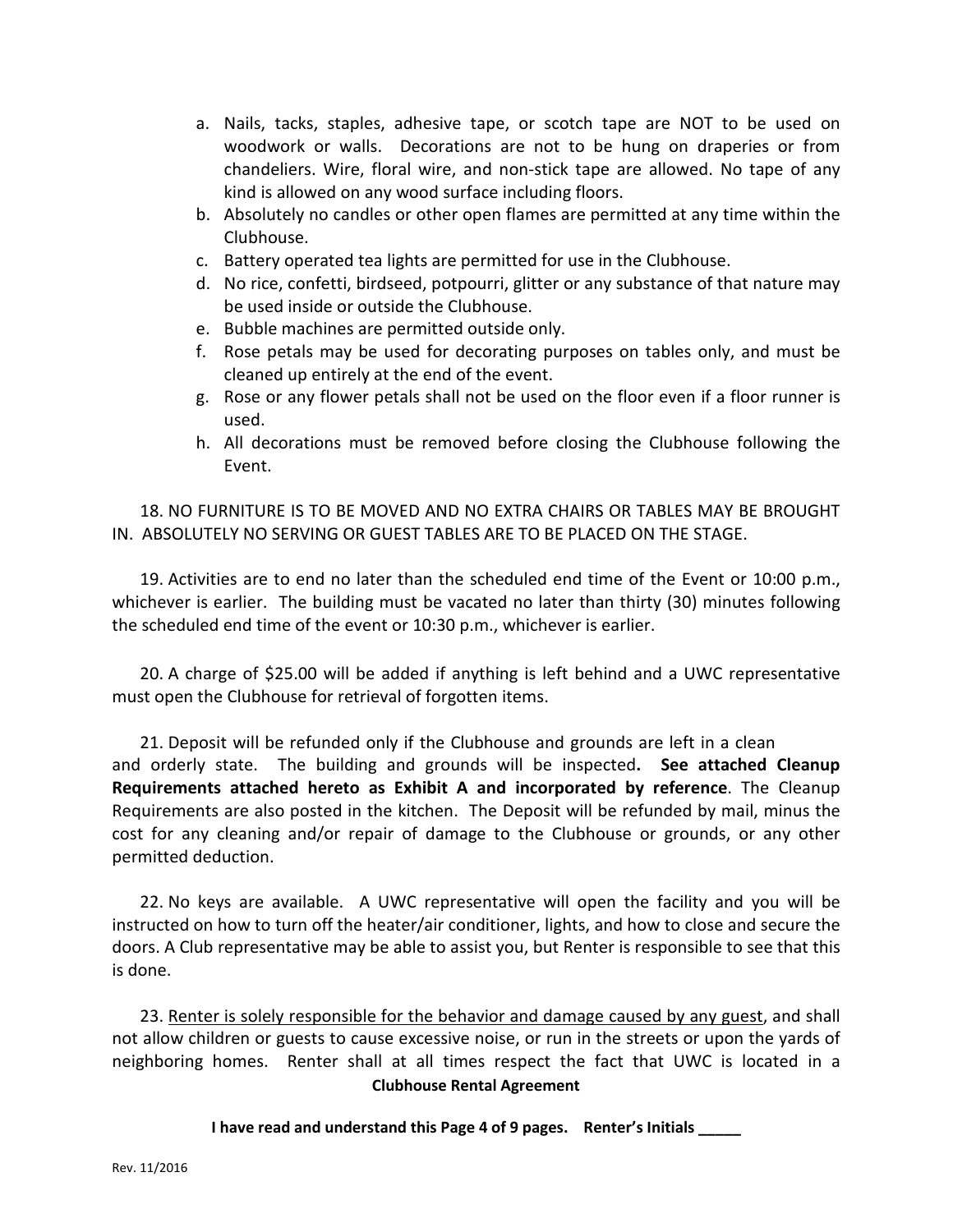- a. Nails, tacks, staples, adhesive tape, or scotch tape are NOT to be used on woodwork or walls. Decorations are not to be hung on draperies or from chandeliers. Wire, floral wire, and non-stick tape are allowed. No tape of any kind is allowed on any wood surface including floors.
- b. Absolutely no candles or other open flames are permitted at any time within the Clubhouse.
- c. Battery operated tea lights are permitted for use in the Clubhouse.
- d. No rice, confetti, birdseed, potpourri, glitter or any substance of that nature may be used inside or outside the Clubhouse.
- e. Bubble machines are permitted outside only.
- f. Rose petals may be used for decorating purposes on tables only, and must be cleaned up entirely at the end of the event.
- g. Rose or any flower petals shall not be used on the floor even if a floor runner is used.
- h. All decorations must be removed before closing the Clubhouse following the Event.

18. NO FURNITURE IS TO BE MOVED AND NO EXTRA CHAIRS OR TABLES MAY BE BROUGHT IN. ABSOLUTELY NO SERVING OR GUEST TABLES ARE TO BE PLACED ON THE STAGE.

19. Activities are to end no later than the scheduled end time of the Event or 10:00 p.m., whichever is earlier. The building must be vacated no later than thirty (30) minutes following the scheduled end time of the event or 10:30 p.m., whichever is earlier.

20. A charge of \$25.00 will be added if anything is left behind and a UWC representative must open the Clubhouse for retrieval of forgotten items.

21. Deposit will be refunded only if the Clubhouse and grounds are left in a clean and orderly state. The building and grounds will be inspected**. See attached Cleanup Requirements attached hereto as Exhibit A and incorporated by reference**. The Cleanup Requirements are also posted in the kitchen. The Deposit will be refunded by mail, minus the cost for any cleaning and/or repair of damage to the Clubhouse or grounds, or any other permitted deduction.

22. No keys are available. A UWC representative will open the facility and you will be instructed on how to turn off the heater/air conditioner, lights, and how to close and secure the doors. A Club representative may be able to assist you, but Renter is responsible to see that this is done.

**Clubhouse Rental Agreement** 23. Renter is solely responsible for the behavior and damage caused by any guest, and shall not allow children or guests to cause excessive noise, or run in the streets or upon the yards of neighboring homes. Renter shall at all times respect the fact that UWC is located in a

#### **I have read and understand this Page 4 of 9 pages. Renter's Initials \_\_\_\_\_**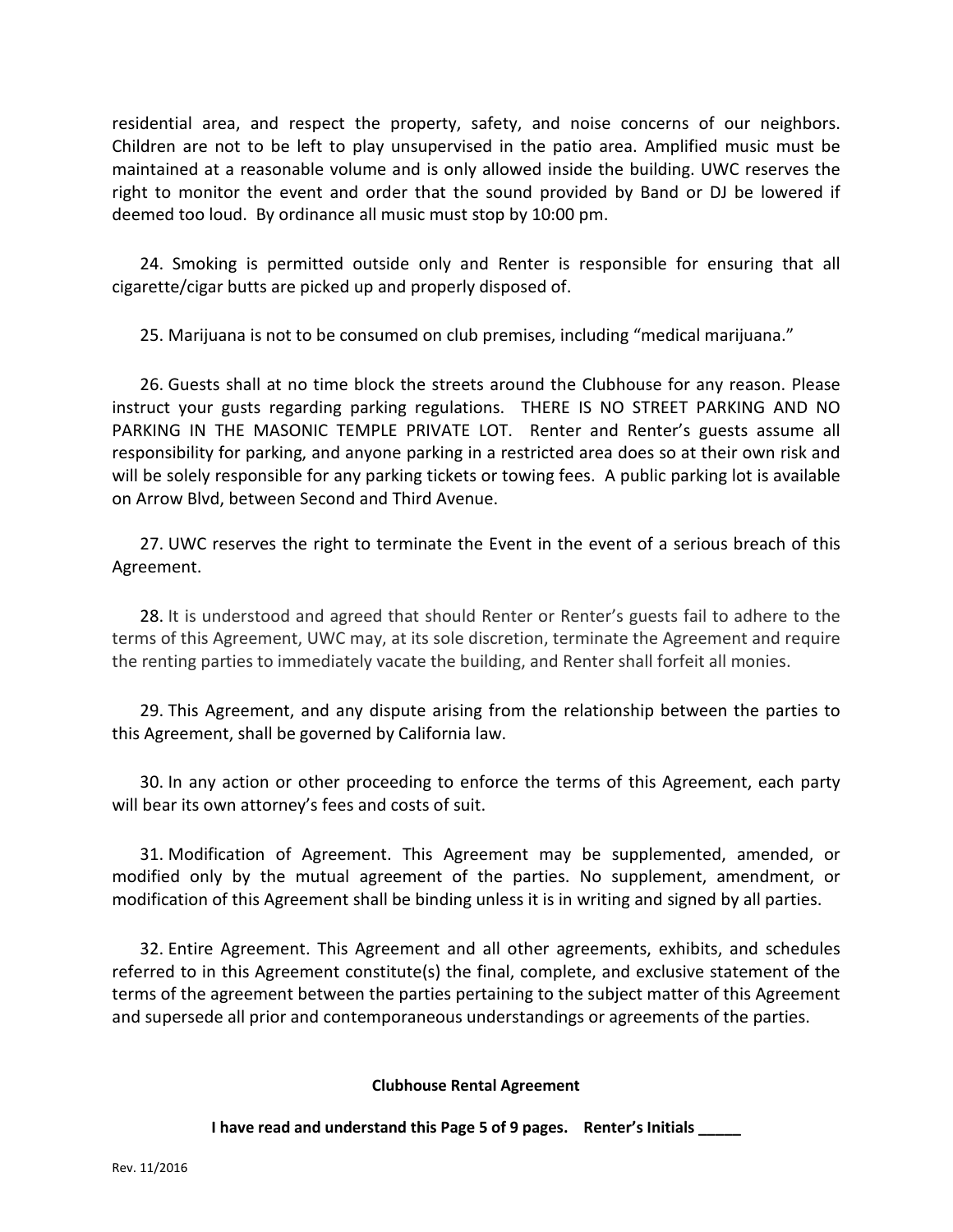residential area, and respect the property, safety, and noise concerns of our neighbors. Children are not to be left to play unsupervised in the patio area. Amplified music must be maintained at a reasonable volume and is only allowed inside the building. UWC reserves the right to monitor the event and order that the sound provided by Band or DJ be lowered if deemed too loud. By ordinance all music must stop by 10:00 pm.

24. Smoking is permitted outside only and Renter is responsible for ensuring that all cigarette/cigar butts are picked up and properly disposed of.

25. Marijuana is not to be consumed on club premises, including "medical marijuana."

26. Guests shall at no time block the streets around the Clubhouse for any reason. Please instruct your gusts regarding parking regulations. THERE IS NO STREET PARKING AND NO PARKING IN THE MASONIC TEMPLE PRIVATE LOT. Renter and Renter's guests assume all responsibility for parking, and anyone parking in a restricted area does so at their own risk and will be solely responsible for any parking tickets or towing fees. A public parking lot is available on Arrow Blvd, between Second and Third Avenue.

27. UWC reserves the right to terminate the Event in the event of a serious breach of this Agreement.

28. It is understood and agreed that should Renter or Renter's guests fail to adhere to the terms of this Agreement, UWC may, at its sole discretion, terminate the Agreement and require the renting parties to immediately vacate the building, and Renter shall forfeit all monies.

29. This Agreement, and any dispute arising from the relationship between the parties to this Agreement, shall be governed by California law.

30. In any action or other proceeding to enforce the terms of this Agreement, each party will bear its own attorney's fees and costs of suit.

31. Modification of Agreement. This Agreement may be supplemented, amended, or modified only by the mutual agreement of the parties. No supplement, amendment, or modification of this Agreement shall be binding unless it is in writing and signed by all parties.

32. Entire Agreement. This Agreement and all other agreements, exhibits, and schedules referred to in this Agreement constitute(s) the final, complete, and exclusive statement of the terms of the agreement between the parties pertaining to the subject matter of this Agreement and supersede all prior and contemporaneous understandings or agreements of the parties.

#### **Clubhouse Rental Agreement**

**I have read and understand this Page 5 of 9 pages. Renter's Initials \_\_\_\_\_**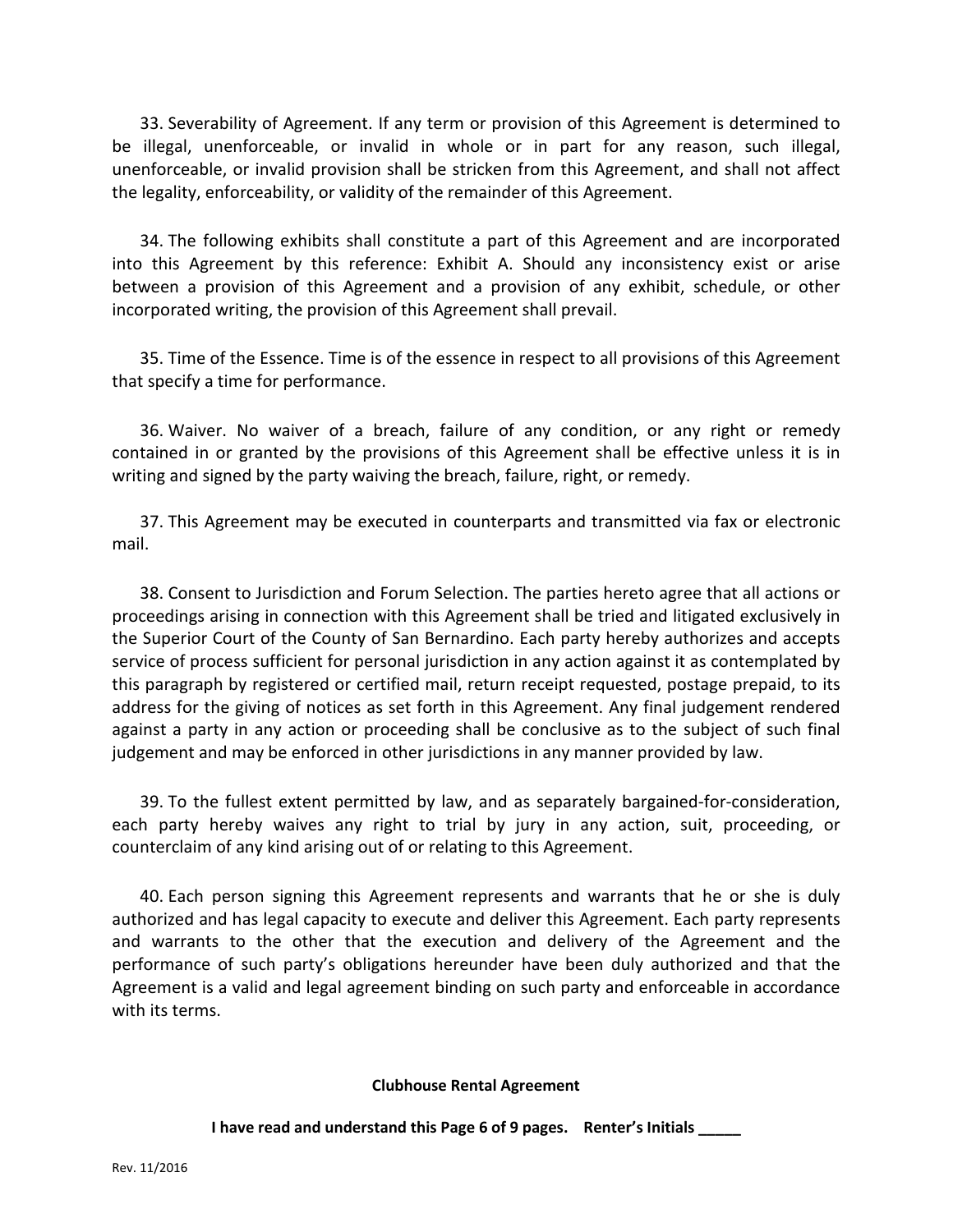33. Severability of Agreement. If any term or provision of this Agreement is determined to be illegal, unenforceable, or invalid in whole or in part for any reason, such illegal, unenforceable, or invalid provision shall be stricken from this Agreement, and shall not affect the legality, enforceability, or validity of the remainder of this Agreement.

34. The following exhibits shall constitute a part of this Agreement and are incorporated into this Agreement by this reference: Exhibit A. Should any inconsistency exist or arise between a provision of this Agreement and a provision of any exhibit, schedule, or other incorporated writing, the provision of this Agreement shall prevail.

35. Time of the Essence. Time is of the essence in respect to all provisions of this Agreement that specify a time for performance.

36. Waiver. No waiver of a breach, failure of any condition, or any right or remedy contained in or granted by the provisions of this Agreement shall be effective unless it is in writing and signed by the party waiving the breach, failure, right, or remedy.

37. This Agreement may be executed in counterparts and transmitted via fax or electronic mail.

38. Consent to Jurisdiction and Forum Selection. The parties hereto agree that all actions or proceedings arising in connection with this Agreement shall be tried and litigated exclusively in the Superior Court of the County of San Bernardino. Each party hereby authorizes and accepts service of process sufficient for personal jurisdiction in any action against it as contemplated by this paragraph by registered or certified mail, return receipt requested, postage prepaid, to its address for the giving of notices as set forth in this Agreement. Any final judgement rendered against a party in any action or proceeding shall be conclusive as to the subject of such final judgement and may be enforced in other jurisdictions in any manner provided by law.

39. To the fullest extent permitted by law, and as separately bargained-for-consideration, each party hereby waives any right to trial by jury in any action, suit, proceeding, or counterclaim of any kind arising out of or relating to this Agreement.

40. Each person signing this Agreement represents and warrants that he or she is duly authorized and has legal capacity to execute and deliver this Agreement. Each party represents and warrants to the other that the execution and delivery of the Agreement and the performance of such party's obligations hereunder have been duly authorized and that the Agreement is a valid and legal agreement binding on such party and enforceable in accordance with its terms.

#### **Clubhouse Rental Agreement**

**I have read and understand this Page 6 of 9 pages. Renter's Initials \_\_\_\_\_**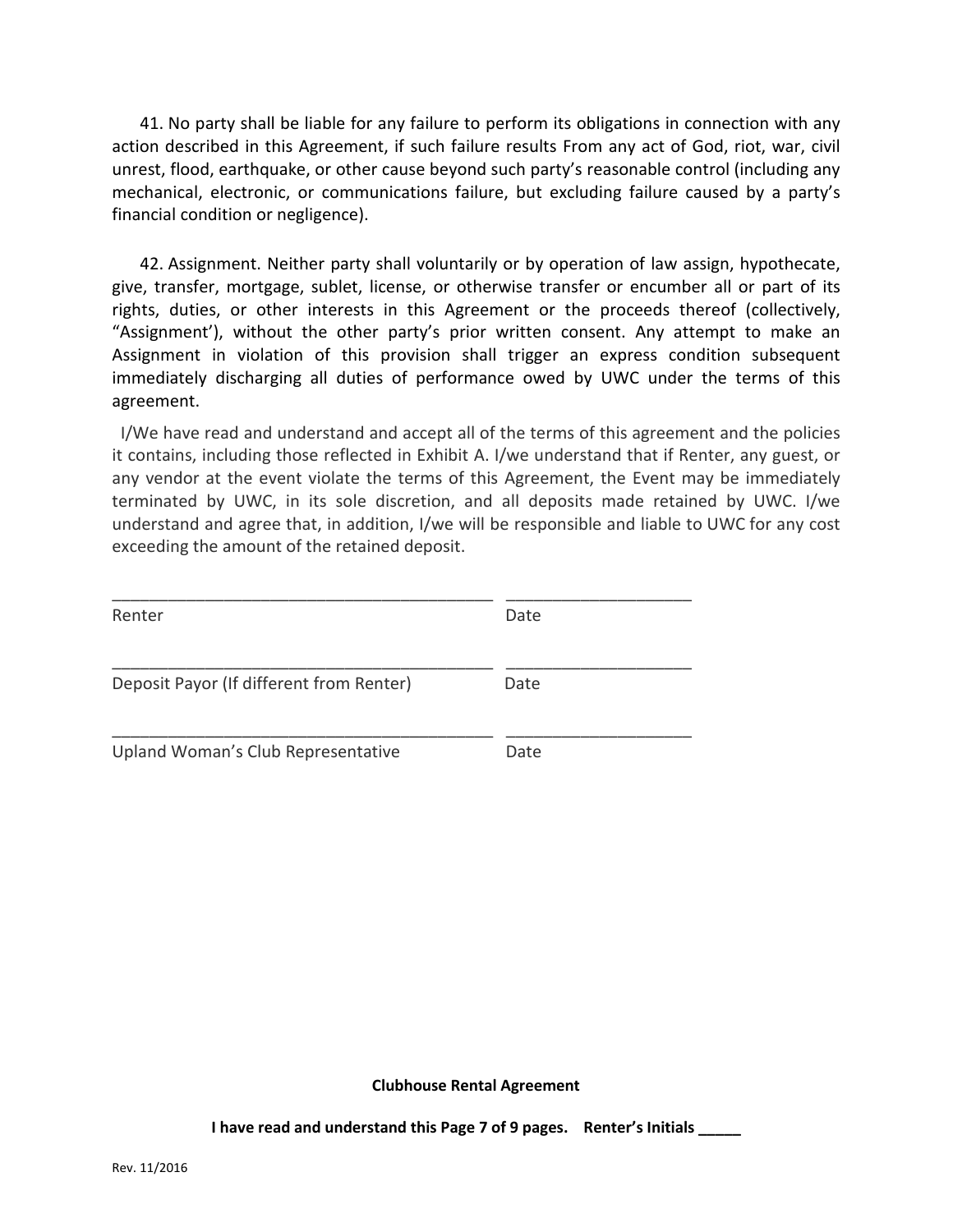41. No party shall be liable for any failure to perform its obligations in connection with any action described in this Agreement, if such failure results From any act of God, riot, war, civil unrest, flood, earthquake, or other cause beyond such party's reasonable control (including any mechanical, electronic, or communications failure, but excluding failure caused by a party's financial condition or negligence).

42. Assignment. Neither party shall voluntarily or by operation of law assign, hypothecate, give, transfer, mortgage, sublet, license, or otherwise transfer or encumber all or part of its rights, duties, or other interests in this Agreement or the proceeds thereof (collectively, "Assignment'), without the other party's prior written consent. Any attempt to make an Assignment in violation of this provision shall trigger an express condition subsequent immediately discharging all duties of performance owed by UWC under the terms of this agreement.

 I/We have read and understand and accept all of the terms of this agreement and the policies it contains, including those reflected in Exhibit A. I/we understand that if Renter, any guest, or any vendor at the event violate the terms of this Agreement, the Event may be immediately terminated by UWC, in its sole discretion, and all deposits made retained by UWC. I/we understand and agree that, in addition, I/we will be responsible and liable to UWC for any cost exceeding the amount of the retained deposit.

| Renter                                   | Date |
|------------------------------------------|------|
| Deposit Payor (If different from Renter) | Date |
| Upland Woman's Club Representative       | Date |

**Clubhouse Rental Agreement**

**I have read and understand this Page 7 of 9 pages. Renter's Initials \_\_\_\_\_**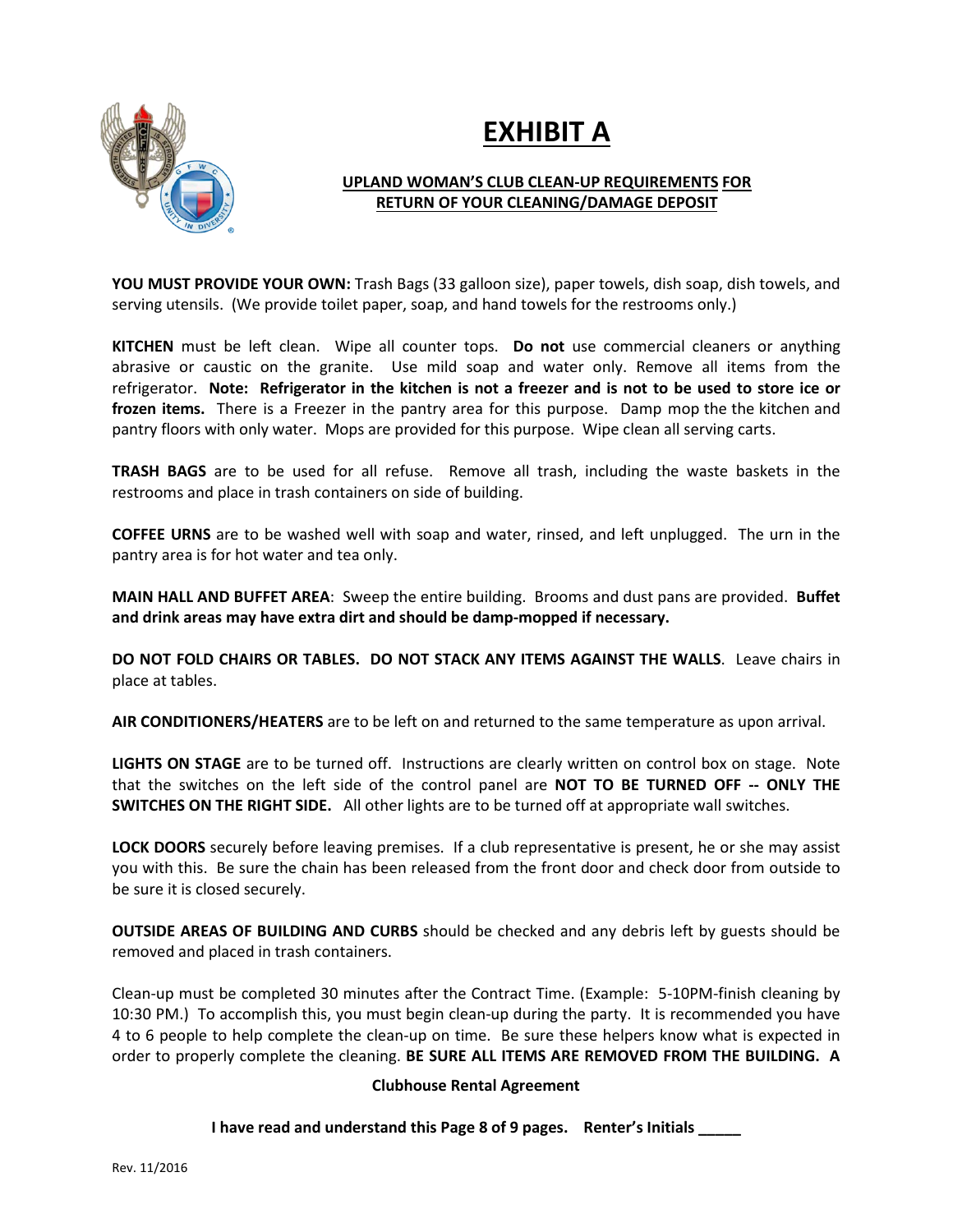

# **EXHIBIT A**

## **UPLAND WOMAN'S CLUB CLEAN-UP REQUIREMENTS FOR RETURN OF YOUR CLEANING/DAMAGE DEPOSIT**

**YOU MUST PROVIDE YOUR OWN:** Trash Bags (33 galloon size), paper towels, dish soap, dish towels, and serving utensils. (We provide toilet paper, soap, and hand towels for the restrooms only.)

**KITCHEN** must be left clean. Wipe all counter tops. **Do not** use commercial cleaners or anything abrasive or caustic on the granite. Use mild soap and water only. Remove all items from the refrigerator. **Note: Refrigerator in the kitchen is not a freezer and is not to be used to store ice or frozen items.** There is a Freezer in the pantry area for this purpose. Damp mop the the kitchen and pantry floors with only water. Mops are provided for this purpose. Wipe clean all serving carts.

**TRASH BAGS** are to be used for all refuse. Remove all trash, including the waste baskets in the restrooms and place in trash containers on side of building.

**COFFEE URNS** are to be washed well with soap and water, rinsed, and left unplugged. The urn in the pantry area is for hot water and tea only.

**MAIN HALL AND BUFFET AREA**: Sweep the entire building. Brooms and dust pans are provided. **Buffet and drink areas may have extra dirt and should be damp-mopped if necessary.**

**DO NOT FOLD CHAIRS OR TABLES. DO NOT STACK ANY ITEMS AGAINST THE WALLS**. Leave chairs in place at tables.

**AIR CONDITIONERS/HEATERS** are to be left on and returned to the same temperature as upon arrival.

**LIGHTS ON STAGE** are to be turned off. Instructions are clearly written on control box on stage. Note that the switches on the left side of the control panel are **NOT TO BE TURNED OFF -- ONLY THE SWITCHES ON THE RIGHT SIDE.** All other lights are to be turned off at appropriate wall switches.

**LOCK DOORS** securely before leaving premises. If a club representative is present, he or she may assist you with this. Be sure the chain has been released from the front door and check door from outside to be sure it is closed securely.

**OUTSIDE AREAS OF BUILDING AND CURBS** should be checked and any debris left by guests should be removed and placed in trash containers.

Clean-up must be completed 30 minutes after the Contract Time. (Example: 5-10PM-finish cleaning by 10:30 PM.) To accomplish this, you must begin clean-up during the party. It is recommended you have 4 to 6 people to help complete the clean-up on time. Be sure these helpers know what is expected in order to properly complete the cleaning. **BE SURE ALL ITEMS ARE REMOVED FROM THE BUILDING. A** 

#### **Clubhouse Rental Agreement**

**I have read and understand this Page 8 of 9 pages. Renter's Initials \_\_\_\_\_**